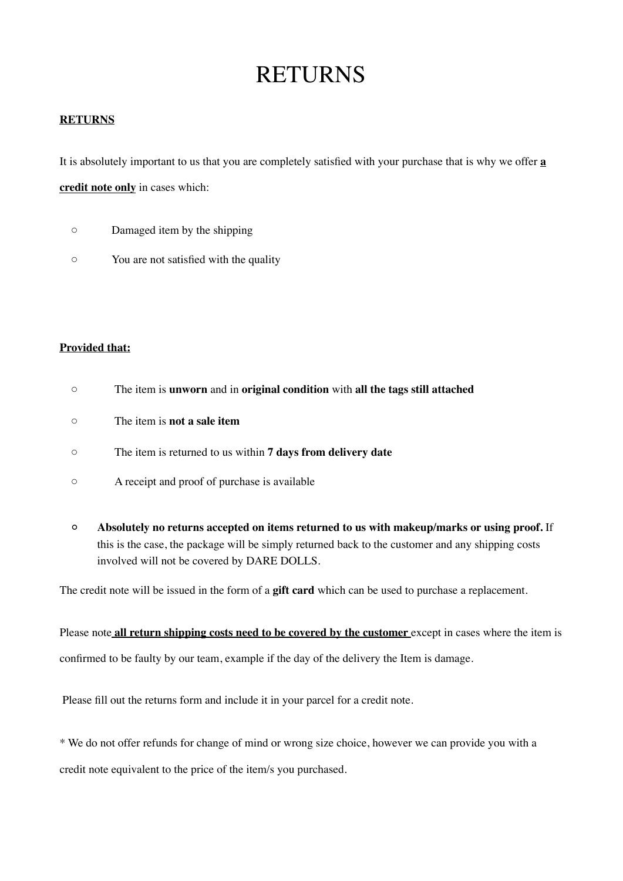# RETURNS

## **RETURNS**

It is absolutely important to us that you are completely satisfied with your purchase that is why we offer **a** 

**credit note only** in cases which:

- Damaged item by the shipping
- You are not satisfied with the quality

## **Provided that:**

- The item is **unworn** and in **original condition** with **all the tags still attached**
- The item is **not a sale item**
- The item is returned to us within **7 days from delivery date**
- A receipt and proof of purchase is available
- **◦ Absolutely no returns accepted on items returned to us with makeup/marks or using proof.** If this is the case, the package will be simply returned back to the customer and any shipping costs involved will not be covered by DARE DOLLS.

The credit note will be issued in the form of a **gift card** which can be used to purchase a replacement.

Please note **all return shipping costs need to be covered by the customer** except in cases where the item is confirmed to be faulty by our team, example if the day of the delivery the Item is damage.

Please fill out the returns form and include it in your parcel for a credit note.

\* We do not offer refunds for change of mind or wrong size choice, however we can provide you with a

credit note equivalent to the price of the item/s you purchased.